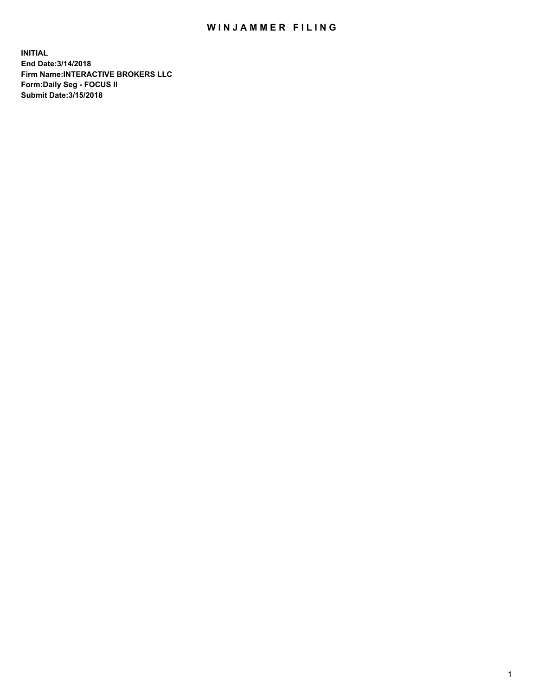## WIN JAMMER FILING

**INITIAL End Date:3/14/2018 Firm Name:INTERACTIVE BROKERS LLC Form:Daily Seg - FOCUS II Submit Date:3/15/2018**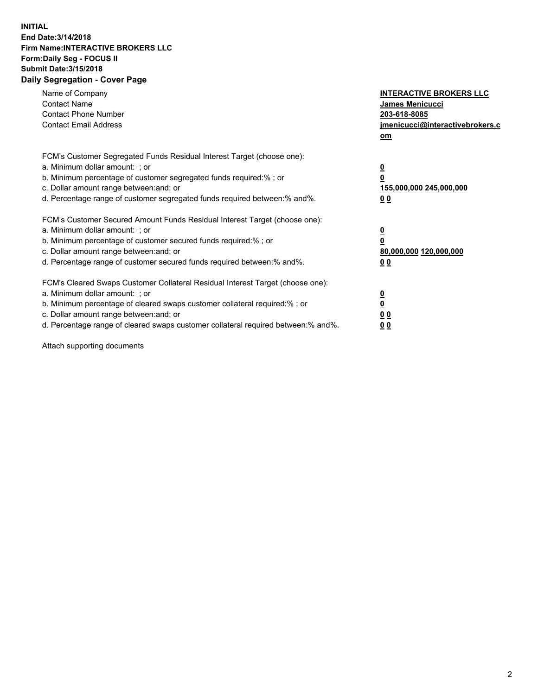## **INITIAL End Date:3/14/2018 Firm Name:INTERACTIVE BROKERS LLC Form:Daily Seg - FOCUS II Submit Date:3/15/2018 Daily Segregation - Cover Page**

| Name of Company<br><b>Contact Name</b><br><b>Contact Phone Number</b><br><b>Contact Email Address</b>                                                                                                                                                                                                                          | <b>INTERACTIVE BROKERS LLC</b><br><b>James Menicucci</b><br>203-618-8085<br>jmenicucci@interactivebrokers.c<br>om |
|--------------------------------------------------------------------------------------------------------------------------------------------------------------------------------------------------------------------------------------------------------------------------------------------------------------------------------|-------------------------------------------------------------------------------------------------------------------|
| FCM's Customer Segregated Funds Residual Interest Target (choose one):<br>a. Minimum dollar amount: ; or<br>b. Minimum percentage of customer segregated funds required:% ; or<br>c. Dollar amount range between: and; or<br>d. Percentage range of customer segregated funds required between: % and %.                       | $\overline{\mathbf{0}}$<br>0<br>155,000,000 245,000,000<br>00                                                     |
| FCM's Customer Secured Amount Funds Residual Interest Target (choose one):<br>a. Minimum dollar amount: ; or<br>b. Minimum percentage of customer secured funds required:%; or<br>c. Dollar amount range between: and; or<br>d. Percentage range of customer secured funds required between: % and %.                          | $\overline{\mathbf{0}}$<br>0<br>80,000,000 120,000,000<br>00                                                      |
| FCM's Cleared Swaps Customer Collateral Residual Interest Target (choose one):<br>a. Minimum dollar amount: ; or<br>b. Minimum percentage of cleared swaps customer collateral required:% ; or<br>c. Dollar amount range between: and; or<br>d. Percentage range of cleared swaps customer collateral required between:% and%. | $\overline{\mathbf{0}}$<br>$\overline{\mathbf{0}}$<br>00<br>0 <sub>0</sub>                                        |

Attach supporting documents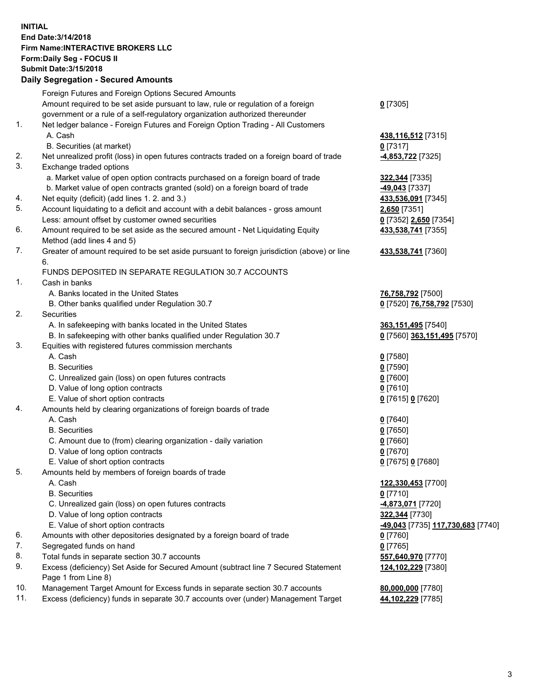## **INITIAL End Date:3/14/2018 Firm Name:INTERACTIVE BROKERS LLC Form:Daily Seg - FOCUS II Submit Date:3/15/2018 Daily Segregation - Secured Amounts**

|     | Daily Segregation - Secured Amounts                                                         |                                   |
|-----|---------------------------------------------------------------------------------------------|-----------------------------------|
|     | Foreign Futures and Foreign Options Secured Amounts                                         |                                   |
|     | Amount required to be set aside pursuant to law, rule or regulation of a foreign            | $0$ [7305]                        |
|     | government or a rule of a self-regulatory organization authorized thereunder                |                                   |
| 1.  | Net ledger balance - Foreign Futures and Foreign Option Trading - All Customers             |                                   |
|     | A. Cash                                                                                     | 438, 116, 512 [7315]              |
|     | B. Securities (at market)                                                                   | $0$ [7317]                        |
| 2.  | Net unrealized profit (loss) in open futures contracts traded on a foreign board of trade   | 4,853,722 [7325]                  |
| 3.  | Exchange traded options                                                                     |                                   |
|     | a. Market value of open option contracts purchased on a foreign board of trade              | 322,344 [7335]                    |
|     | b. Market value of open contracts granted (sold) on a foreign board of trade                | -49,043 [7337]                    |
| 4.  | Net equity (deficit) (add lines 1.2. and 3.)                                                | 433,536,091 [7345]                |
| 5.  | Account liquidating to a deficit and account with a debit balances - gross amount           | 2,650 [7351]                      |
|     | Less: amount offset by customer owned securities                                            | 0 [7352] 2,650 [7354]             |
| 6.  | Amount required to be set aside as the secured amount - Net Liquidating Equity              | 433,538,741 [7355]                |
|     | Method (add lines 4 and 5)                                                                  |                                   |
| 7.  | Greater of amount required to be set aside pursuant to foreign jurisdiction (above) or line | 433,538,741 [7360]                |
|     | 6.                                                                                          |                                   |
|     | FUNDS DEPOSITED IN SEPARATE REGULATION 30.7 ACCOUNTS                                        |                                   |
| 1.  | Cash in banks                                                                               |                                   |
|     | A. Banks located in the United States                                                       | 76,758,792 [7500]                 |
|     | B. Other banks qualified under Regulation 30.7                                              |                                   |
| 2.  | <b>Securities</b>                                                                           | 0 [7520] 76,758,792 [7530]        |
|     |                                                                                             |                                   |
|     | A. In safekeeping with banks located in the United States                                   | 363,151,495 [7540]                |
| 3.  | B. In safekeeping with other banks qualified under Regulation 30.7                          | 0 [7560] 363,151,495 [7570]       |
|     | Equities with registered futures commission merchants                                       |                                   |
|     | A. Cash                                                                                     | $0$ [7580]                        |
|     | <b>B.</b> Securities                                                                        | $0$ [7590]                        |
|     | C. Unrealized gain (loss) on open futures contracts                                         | $0$ [7600]                        |
|     | D. Value of long option contracts                                                           | $0$ [7610]                        |
|     | E. Value of short option contracts                                                          | 0 [7615] 0 [7620]                 |
| 4.  | Amounts held by clearing organizations of foreign boards of trade                           |                                   |
|     | A. Cash                                                                                     | $0$ [7640]                        |
|     | <b>B.</b> Securities                                                                        | $0$ [7650]                        |
|     | C. Amount due to (from) clearing organization - daily variation                             | $0$ [7660]                        |
|     | D. Value of long option contracts                                                           | $0$ [7670]                        |
|     | E. Value of short option contracts                                                          | 0 [7675] 0 [7680]                 |
| 5.  | Amounts held by members of foreign boards of trade                                          |                                   |
|     | A. Cash                                                                                     | 122,330,453 [7700]                |
|     | <b>B.</b> Securities                                                                        | $0$ [7710]                        |
|     | C. Unrealized gain (loss) on open futures contracts                                         | 4,873,071 [7720]                  |
|     | D. Value of long option contracts                                                           | 322,344 [7730]                    |
|     | E. Value of short option contracts                                                          | -49,043 [7735] 117,730,683 [7740] |
| 6.  | Amounts with other depositories designated by a foreign board of trade                      | 0 [7760]                          |
| 7.  | Segregated funds on hand                                                                    | $0$ [7765]                        |
| 8.  | Total funds in separate section 30.7 accounts                                               | 557,640,970 [7770]                |
| 9.  | Excess (deficiency) Set Aside for Secured Amount (subtract line 7 Secured Statement         | 124,102,229 [7380]                |
|     | Page 1 from Line 8)                                                                         |                                   |
| 10. | Management Target Amount for Excess funds in separate section 30.7 accounts                 | 80,000,000 [7780]                 |
| 11. | Excess (deficiency) funds in separate 30.7 accounts over (under) Management Target          | 44,102,229 [7785]                 |
|     |                                                                                             |                                   |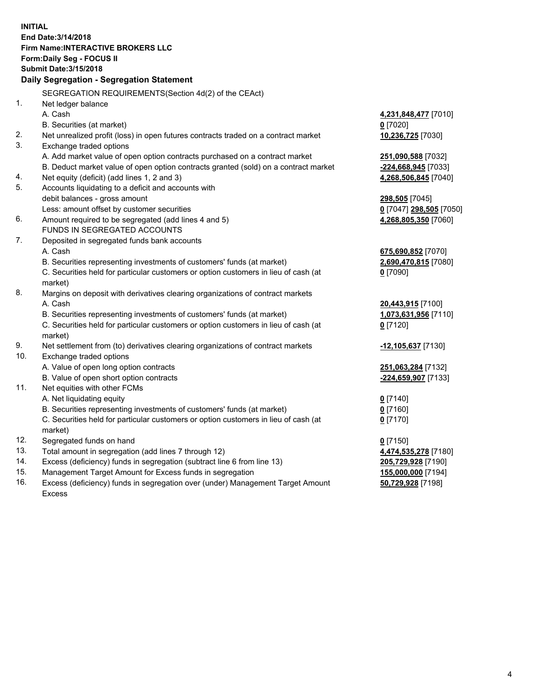**INITIAL End Date:3/14/2018 Firm Name:INTERACTIVE BROKERS LLC Form:Daily Seg - FOCUS II Submit Date:3/15/2018 Daily Segregation - Segregation Statement** SEGREGATION REQUIREMENTS(Section 4d(2) of the CEAct) 1. Net ledger balance A. Cash **4,231,848,477** [7010] B. Securities (at market) **0** [7020] 2. Net unrealized profit (loss) in open futures contracts traded on a contract market **10,236,725** [7030] 3. Exchange traded options A. Add market value of open option contracts purchased on a contract market **251,090,588** [7032] B. Deduct market value of open option contracts granted (sold) on a contract market **-224,668,945** [7033] 4. Net equity (deficit) (add lines 1, 2 and 3) **4,268,506,845** [7040] 5. Accounts liquidating to a deficit and accounts with debit balances - gross amount **298,505** [7045] Less: amount offset by customer securities **0** [7047] **298,505** [7050] 6. Amount required to be segregated (add lines 4 and 5) **4,268,805,350** [7060] FUNDS IN SEGREGATED ACCOUNTS 7. Deposited in segregated funds bank accounts A. Cash **675,690,852** [7070] B. Securities representing investments of customers' funds (at market) **2,690,470,815** [7080] C. Securities held for particular customers or option customers in lieu of cash (at market) **0** [7090] 8. Margins on deposit with derivatives clearing organizations of contract markets A. Cash **20,443,915** [7100] B. Securities representing investments of customers' funds (at market) **1,073,631,956** [7110] C. Securities held for particular customers or option customers in lieu of cash (at market) **0** [7120] 9. Net settlement from (to) derivatives clearing organizations of contract markets **-12,105,637** [7130] 10. Exchange traded options A. Value of open long option contracts **251,063,284** [7132] B. Value of open short option contracts **-224,659,907** [7133] 11. Net equities with other FCMs A. Net liquidating equity **0** [7140] B. Securities representing investments of customers' funds (at market) **0** [7160] C. Securities held for particular customers or option customers in lieu of cash (at market) **0** [7170] 12. Segregated funds on hand **0** [7150] 13. Total amount in segregation (add lines 7 through 12) **4,474,535,278** [7180] 14. Excess (deficiency) funds in segregation (subtract line 6 from line 13) **205,729,928** [7190] 15. Management Target Amount for Excess funds in segregation **155,000,000** [7194]

16. Excess (deficiency) funds in segregation over (under) Management Target Amount Excess

**50,729,928** [7198]